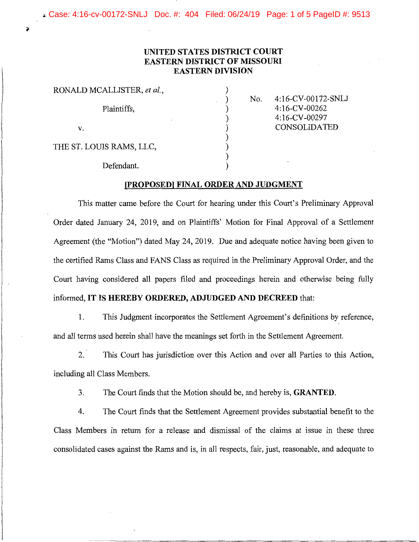.. Case: 4:16-cv-00172-SNLJ Doc. #: 404 Filed: 06/24/19 Page: 1 of 5 PageID #: 9513

## **UNITED STATES DISTRICT COURT EASTERN DISTRICT OF MISSOURI EASTERN DIVISION**

| RONALD MCALLISTER, et al., |  |
|----------------------------|--|
| Plaintiffs,                |  |
| V.                         |  |
| THE ST. LOUIS RAMS, LLC,   |  |
| Defendant.                 |  |

 $\ddot{\bullet}$ 

No. 4:16-CV-00172-SNLJ 4: 16-CV-00262 4: 16-CV-00297 CONSOLIDATED

## **[PROPOSED) FINAL ORDER AND JUDGMENT**

This matter came before the Court for hearing under this Court's Preliminary Approval Order dated January 24, 2019, and on Plaintiffs' Motion for Final Approval of a Settlement Agreement (the "Motion") dated May 24, 2019. Due and adequate notice having been given to the certified Rams Class and FANS Class as required in the Preliminary Approval Order, and the Court having considered all papers filed and proceedings herein and otherwise being fully informed, **IT IS HEREBY ORDERED, ADJUDGED AND DECREED** that:

1. This Judgment incorporates the Settlement Agreement's definitions by reference, and all terms used herein shall have the meanings set forth in the Settlement Agreement.

2. This Court has jurisdiction over this Action and over all Parties to this Action, including all Class Members.

3. The Court finds that the Motion should be, and hereby is, **GRANTED.** 

4. The Court finds that the Settlement Agreement provides substantial benefit to the Class Members in return for a release and dismissal of the claims at issue in these three consolidated cases against the Rams and is, in all respects, fair, just, reasonable, and adequate to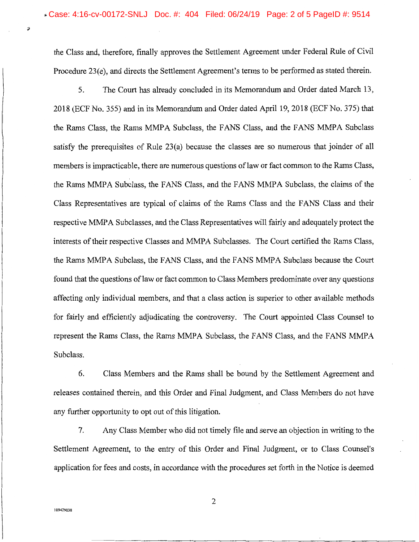the Class and, therefore, finally approves the Settlement Agreement under Federal Rule of Civil Procedure 23(e), and directs the Settlement Agreement's terms to be performed as stated therein.

5. The Court has already concluded in its Memorandum and Order dated March 13, 2018 (ECF No. 355) and in its Memorandum and Order dated April 19, 2018 (ECF No. 375) that the Rams Class, the Rams MMPA Subclass, the FANS Class, and the FANS MMPA Subclass satisfy the prerequisites of Rule 23(a) because the classes are so numerous that joinder of all members is impracticable, there are numerous questions of law or fact common to the Rams Class, the Rams MMPA Subclass, the FANS Class, and the FANS MMPA Subclass, the claims of the Class Representatives are typical of claims of the Rams Class and the FANS Class and their respective MMPA Subclasses, and the Class Representatives will fairly and adequately protect the interests of their respective Classes and MMPA Subclasses. The Court certified the Rams Class, the Rams MMPA Subclass, the FANS Class, and the FANS MMPA Subclass because the Court found that the questions of law or fact common to Class Members predominate over any questions affecting only individual members, and that a class action is superior to other available methods for fairly and efficiently adjudicating the controversy. The Court appointed Class Counsel to represent the Rams Class, the Rams MMPA Subclass, the FANS Class, and the FANS MMPA Subclass.

6. Class Members and the Rams shall be bound by the Settlement Agreement and releases contained therein, and this Order and Final Judgment, and Class Members do not have any further opportunity to opt out of this litigation.

7. Any Class Member who did not timely file and serve an objection in writing to the Settlement Agreement, to the entry of this Order and Final Judgment, or to Class Counsel's application for fees and costs, in accordance with the procedures set forth in the Notice is deemed

Ĵ

2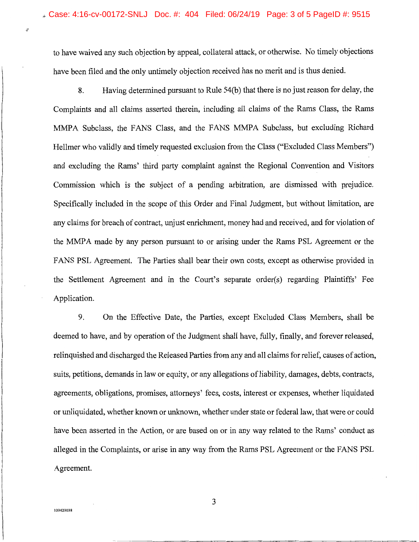to have waived any such objection by appeal, collateral attack, or otherwise. No timely objections have been filed and the only untimely objection received has no merit and is thus denied.

8. Having determined pursuant to Rule 54(b) that there is no just reason for delay, the Complaints and all claims asserted therein, including all claims of the Rams Class, the Rams MMPA Subclass, the FANS Class, and the FANS MMPA Subclass, but excluding Richard Hellmer who validly and timely requested exclusion from the Class ("Excluded Class Members") and excluding the Rams' third party complaint against the Regional Convention and Visitors Commission which is the subject of a pending arbitration, are dismissed with prejudice. Specifically included in the scope of this Order and Final Judgment, but without limitation, are any claims for breach of contract, unjust enrichment, money had and received, and for violation of the MMPA made by any person pursuant to or arising under the Rams PSL Agreement or the FANS PSL Agreement. The Parties shall bear their own costs, except as otherwise provided in the Settlement Agreement and in the Court's separate order(s) regarding Plaintiffs' Fee Application.

9. On the Effective Date, the Parties, except Excluded Class Members, shall be deemed to have, and by operation of the Judgment shall have, fully, finally, and forever released, relinquished and discharged the Released Parties from any and all claims for relief, causes of action, suits, petitions, demands in law or equity, or any allegations of liability, damages, debts, contracts, agreements, obligations, promises, attorneys' fees, costs, interest or expenses, whether liquidated or unliquidated, whether known or unknown, whether under state or federal law, that were or could have been asserted in the Action, or are based on or in any way related to the Rams' conduct as alleged in the Complaints, or arise in any way from the Rams PSL Agreement or the FANS PSL Agreement.

 $3$ <sup>109429038</sup>

 $\partial$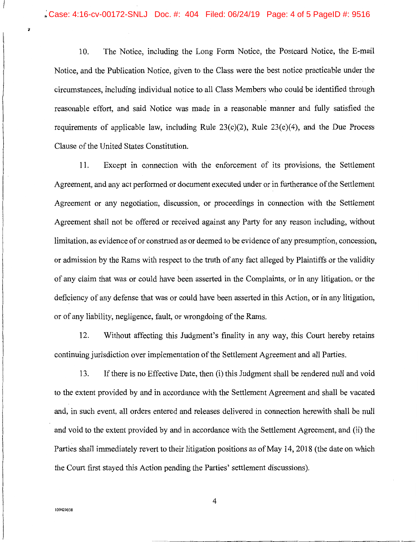10. The Notice, including the Long Form Notice, the Postcard Notice, the E-mail Notice, and the Publication Notice, given to the Class were the best notice practicable under the circumstances, including individual notice to all Class Members who could be identified through reasonable effort, and said Notice was made in a reasonable manner and fully satisfied the requirements of applicable law, including Rule 23(c)(2), Rule 23(e)(4), and the Due Process Clause of the United States Constitution.

11. Except in connection with the enforcement of its provisions, the Settlement Agreement, and any act performed or document executed under or in furtherance of the Settlement Agreement or any negotiation, discussion, or proceedings in connection with the Settlement Agreement shall not be offered or received against any Party for any reason including, without limitation, as evidence of or construed as or deemed to be evidence of any presumption, concession, or admission by the Rams with respect to the truth of any fact alleged by Plaintiffs or the validity of any claim that was or could have been asserted in the Complaints, or in any litigation, or the deficiency of any defense that was or could have been asserted in this Action, or in any litigation, or of any liability, negligence, fault, or wrongdoing of the Rams.

12. Without affecting this Judgment's finality in any way, this Court hereby retains continuing jurisdiction over implementation of the Settlement Agreement and all Parties.

13. If there is no Effective Date, then (i) this Judgment shall be rendered null and void to the extent provided by and in accordance with the Settlement Agreement and shall be vacated and, in such event, all orders entered and releases delivered in connection herewith shall be null and void to the extent provided by and in accordance with the Settlement Agreement, and (ii) the Parties shall immediately revert to their litigation positions as of May 14, 2018 (the date on which the Court first stayed this Action pending the Parties' settlement discussions).

 $\overline{\bullet}$